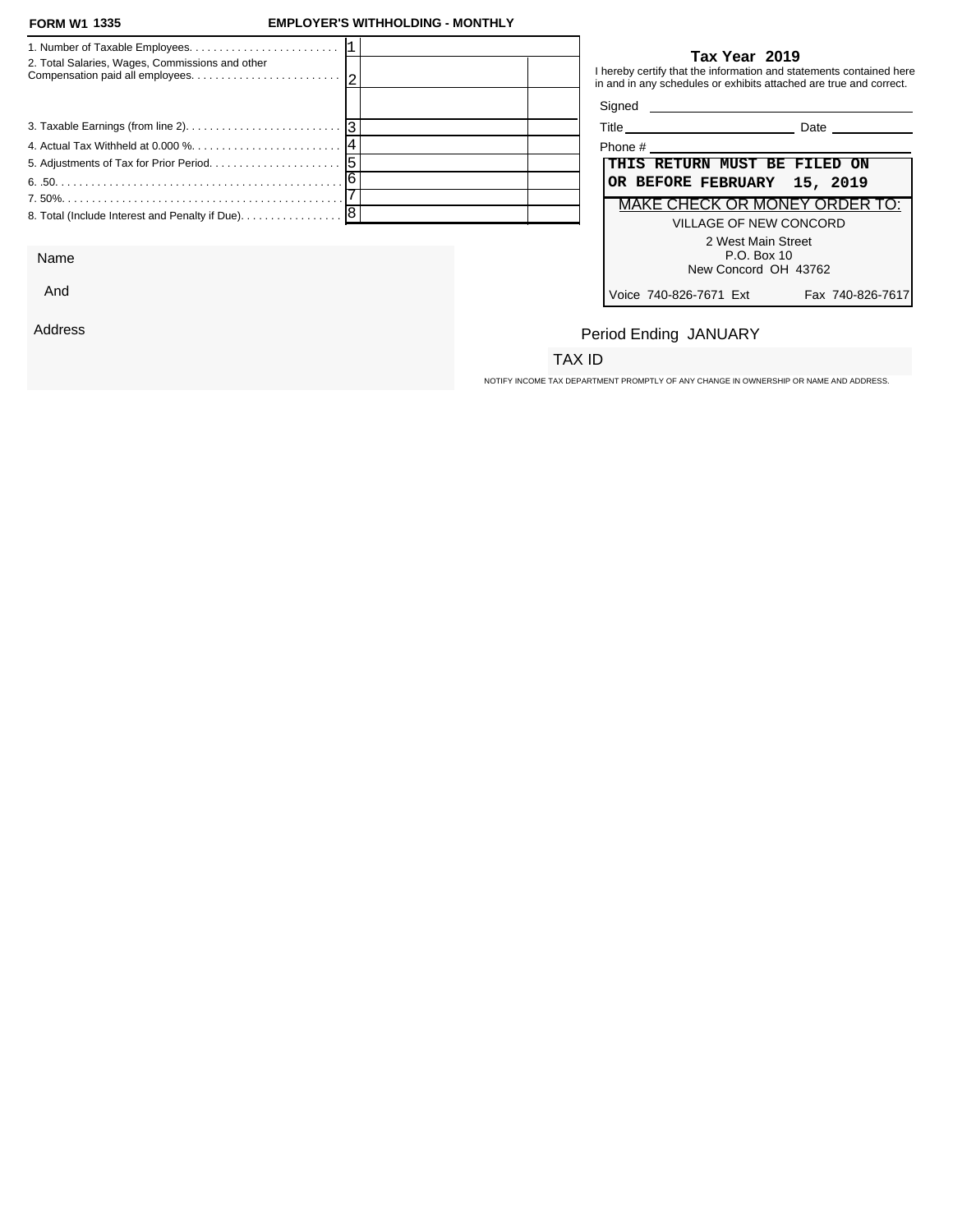## **FORM W1 EMPLOYER'S WITHHOLDING - MONTHLY**

| 2. Total Salaries, Wages, Commissions and other            |  |         | Tax Year 2019<br>I hereby certify that the information and statements contained here<br>in and in any schedules or exhibits attached are true and correct. |
|------------------------------------------------------------|--|---------|------------------------------------------------------------------------------------------------------------------------------------------------------------|
|                                                            |  |         |                                                                                                                                                            |
|                                                            |  |         | Title Date Date                                                                                                                                            |
| 4. Actual Tax Withheld at 0.000 % 14                       |  | Phone # |                                                                                                                                                            |
|                                                            |  |         | THIS RETURN MUST BE FILED ON                                                                                                                               |
|                                                            |  |         | OR BEFORE FEBRUARY 15, 2019                                                                                                                                |
|                                                            |  |         | <b>MAKE CHECK OR MONEY ORDER TO:</b>                                                                                                                       |
| 8. Total (Include Interest and Penalty if Due). $\ldots$ 8 |  |         | VILLAGE OF NEW CONCORD                                                                                                                                     |
|                                                            |  |         | 2 West Main Street                                                                                                                                         |

Name

And

Address

## **Tax Year 2019**

| ïtle | 121A |  |
|------|------|--|
|      |      |  |

| Phone #                                                     |
|-------------------------------------------------------------|
| THIS RETURN MUST BE FILED ON<br>OR BEFORE FEBRUARY 15, 2019 |
| MAKE CHECK OR MONEY ORDER TO:                               |
| VILLAGE OF NEW CONCORD                                      |
| 2 West Main Street<br>P.O. Box 10                           |
| New Concord OH 43762                                        |
| Voice 740-826-7671 Ext<br>Fax 740-826-7617                  |

# Period Ending JANUARY

# TAX ID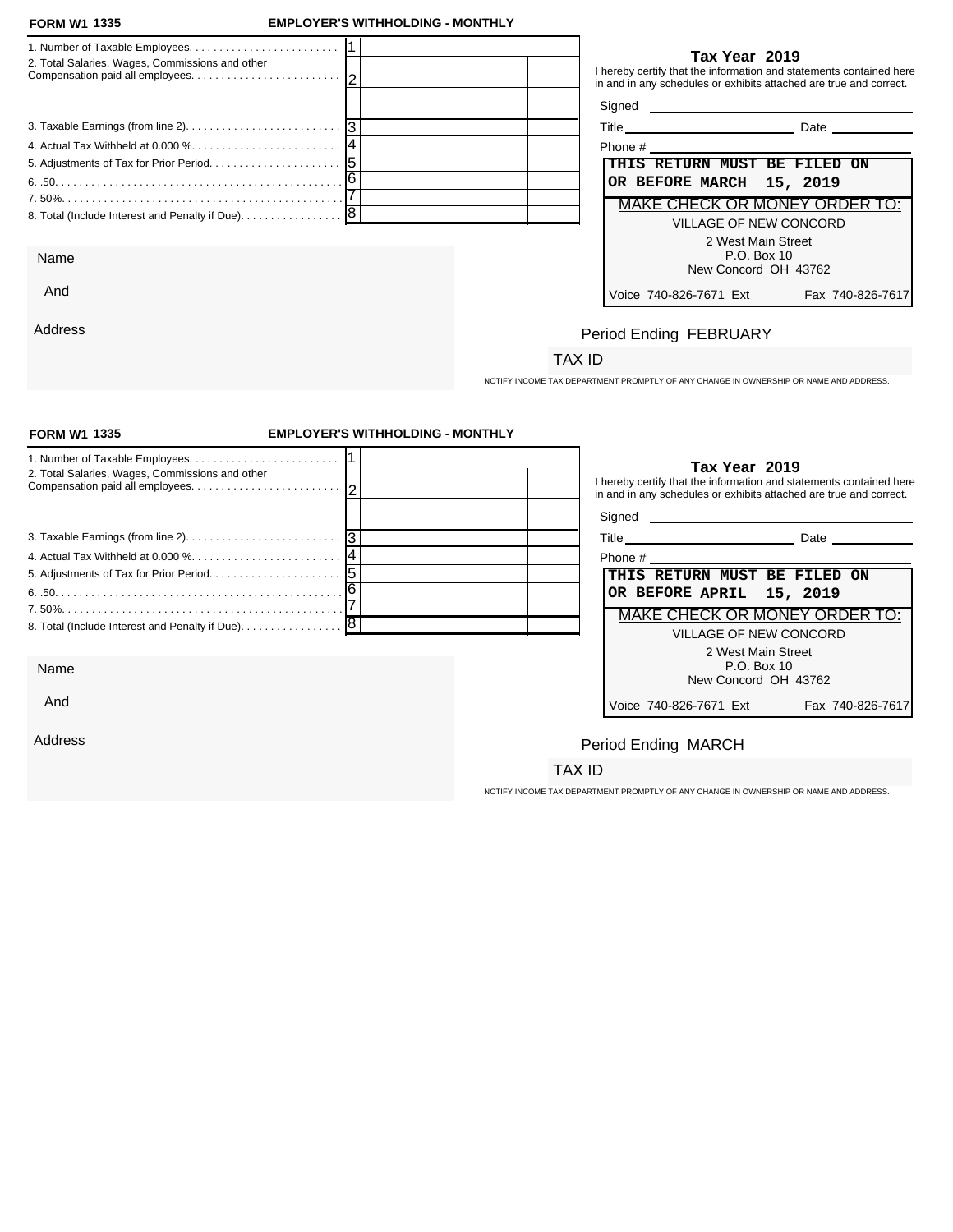And

Address

## **FORM W1 EMPLOYER'S WITHHOLDING - MONTHLY**

| 2. Total Salaries, Wages, Commissions and other | Tax Year 2019<br>I hereby certify that the information and statements contained here<br>in and in any schedules or exhibits attached are true and correct. |
|-------------------------------------------------|------------------------------------------------------------------------------------------------------------------------------------------------------------|
|                                                 | Signed <b>Signed Signed</b>                                                                                                                                |
|                                                 | Date                                                                                                                                                       |
|                                                 | Phone #                                                                                                                                                    |
|                                                 | THIS RETURN MUST BE FILED ON                                                                                                                               |
|                                                 | OR BEFORE MARCH 15, 2019                                                                                                                                   |
|                                                 | MAKE CHECK OR MONEY ORDER TO:                                                                                                                              |
|                                                 | VILLAGE OF NEW CONCORD                                                                                                                                     |
|                                                 | 2 West Main Street                                                                                                                                         |
| Name                                            | P.O. Box 10                                                                                                                                                |
|                                                 | New Concord OH 13762                                                                                                                                       |

## **Tax Year 2019**

| Phone #                                    |
|--------------------------------------------|
| THIS RETURN MUST BE FILED ON               |
| OR BEFORE MARCH 15, 2019                   |
| <b>MAKE CHECK OR MONEY ORDER TO:</b>       |
| VILLAGE OF NEW CONCORD                     |
| 2 West Main Street                         |
| P.O. Box 10                                |
| New Concord OH 43762                       |
| Voice 740-826-7671 Ext<br>Fax 740-826-7617 |

# Period Ending FEBRUARY

# TAX ID

NOTIFY INCOME TAX DEPARTMENT PROMPTLY OF ANY CHANGE IN OWNERSHIP OR NAME AND ADDRESS.

| <b>FORM W1 1335</b>                               | <b>EMPLOYER'S WITHHOLDING - MONTHLY</b> |                                                                                                                                                            |                  |  |
|---------------------------------------------------|-----------------------------------------|------------------------------------------------------------------------------------------------------------------------------------------------------------|------------------|--|
| 2. Total Salaries, Wages, Commissions and other   |                                         | Tax Year 2019<br>I hereby certify that the information and statements contained here<br>in and in any schedules or exhibits attached are true and correct. |                  |  |
|                                                   |                                         |                                                                                                                                                            |                  |  |
|                                                   |                                         | Title Date Date                                                                                                                                            |                  |  |
|                                                   |                                         |                                                                                                                                                            |                  |  |
|                                                   |                                         | THIS RETURN MUST BE FILED ON                                                                                                                               |                  |  |
|                                                   |                                         | OR BEFORE APRIL 15, 2019                                                                                                                                   |                  |  |
|                                                   |                                         | MAKE CHECK OR MONEY ORDER TO:                                                                                                                              |                  |  |
| 8. Total (Include Interest and Penalty if Due). 8 |                                         | <b>VILLAGE OF NEW CONCORD</b>                                                                                                                              |                  |  |
|                                                   |                                         | 2 West Main Street                                                                                                                                         |                  |  |
| Name                                              |                                         | P.O. Box 10<br>New Concord OH 43762                                                                                                                        |                  |  |
| And                                               |                                         | Voice 740-826-7671 Ext                                                                                                                                     | Fax 740-826-7617 |  |
| Address                                           |                                         | Period Ending MARCH                                                                                                                                        |                  |  |
|                                                   |                                         | TAX ID                                                                                                                                                     |                  |  |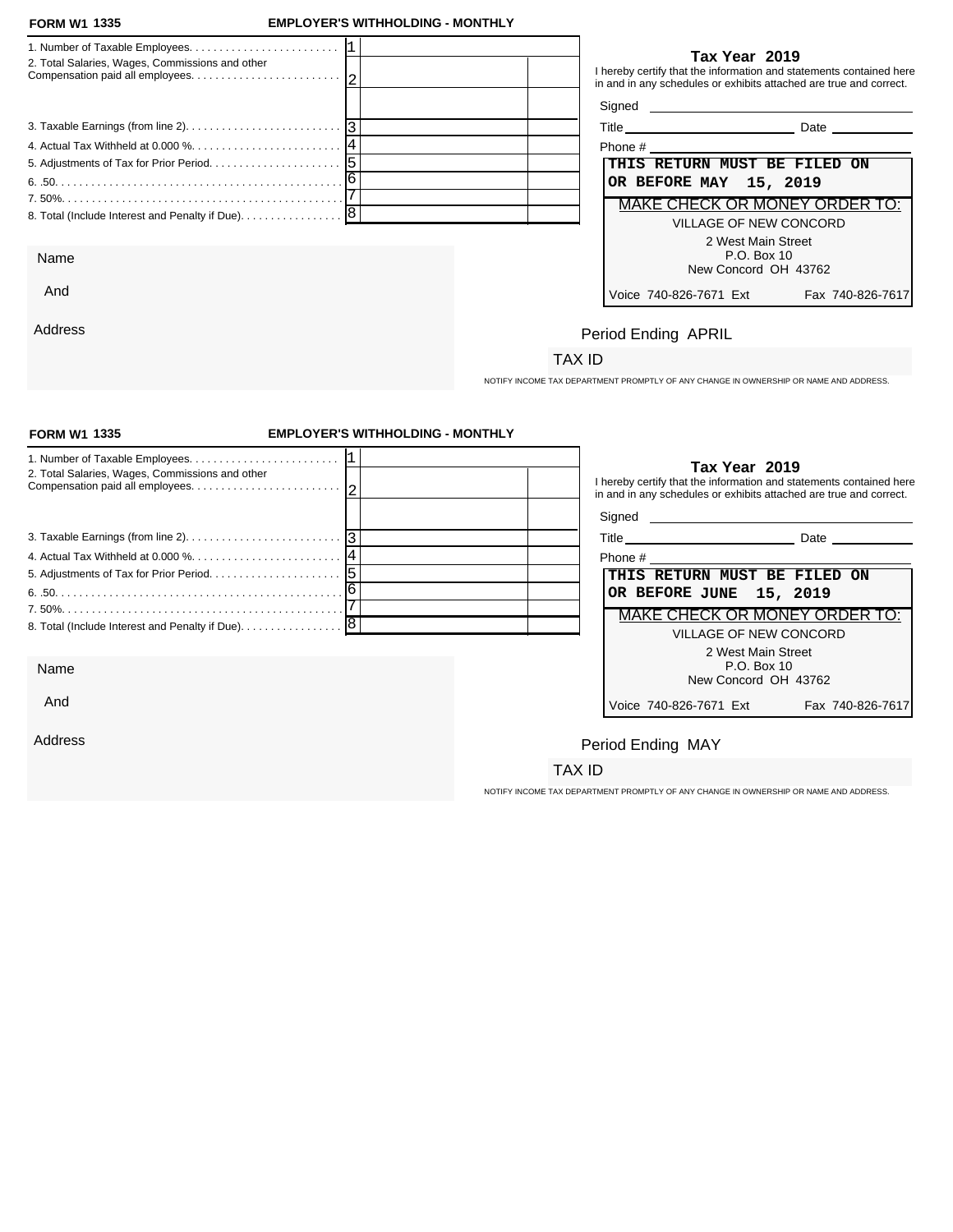And

Address

## **FORM W1 EMPLOYER'S WITHHOLDING - MONTHLY**

| 2. Total Salaries, Wages, Commissions and other   | Tax Year 2019<br>I hereby certify that the information and statements contained here<br>in and in any schedules or exhibits attached are true and correct. |
|---------------------------------------------------|------------------------------------------------------------------------------------------------------------------------------------------------------------|
|                                                   |                                                                                                                                                            |
|                                                   | <b>Date Date</b>                                                                                                                                           |
|                                                   | Phone # 2008 2009 2012 2022 2023 2024 2022 2023 2024 2022 2023 2024 2022 2023 2024 2022 2023 2024 20                                                       |
|                                                   | THIS RETURN MUST BE FILED ON                                                                                                                               |
|                                                   | OR BEFORE MAY 15, 2019                                                                                                                                     |
|                                                   | <b>MAKE CHECK OR MONEY ORDER 1</b>                                                                                                                         |
| 8. Total (Include Interest and Penalty if Due). 8 | VILLAGE OF NEW CONCORD                                                                                                                                     |
|                                                   | 2 West Main Street                                                                                                                                         |
| Name                                              | P.O. Box 10<br>New Concord OH 43762                                                                                                                        |

| Phone #                              |                  |
|--------------------------------------|------------------|
| THIS RETURN MUST BE FILED ON         |                  |
| OR BEFORE MAY 15, 2019               |                  |
| <b>MAKE CHECK OR MONEY ORDER TO:</b> |                  |
| VILLAGE OF NEW CONCORD               |                  |
| 2 West Main Street                   |                  |
| P.O. Box 10                          |                  |
| New Concord OH 43762                 |                  |
| Voice 740-826-7671 Ext               | Fax 740-826-7617 |

# Period Ending APRIL

# TAX ID

NOTIFY INCOME TAX DEPARTMENT PROMPTLY OF ANY CHANGE IN OWNERSHIP OR NAME AND ADDRESS.

| <b>FORM W1 1335</b>                             | <b>EMPLOYER'S WITHHOLDING - MONTHLY</b> |                                                                                                                                                            |  |
|-------------------------------------------------|-----------------------------------------|------------------------------------------------------------------------------------------------------------------------------------------------------------|--|
| 2. Total Salaries, Wages, Commissions and other |                                         | Tax Year 2019<br>I hereby certify that the information and statements contained here<br>in and in any schedules or exhibits attached are true and correct. |  |
|                                                 |                                         |                                                                                                                                                            |  |
|                                                 |                                         |                                                                                                                                                            |  |
|                                                 |                                         |                                                                                                                                                            |  |
|                                                 |                                         | THIS RETURN MUST BE FILED ON                                                                                                                               |  |
|                                                 |                                         | OR BEFORE JUNE 15, 2019                                                                                                                                    |  |
|                                                 |                                         | <b>MAKE CHECK OR MONEY ORDER TO:</b>                                                                                                                       |  |
|                                                 |                                         | <b>VILLAGE OF NEW CONCORD</b>                                                                                                                              |  |
| Name                                            |                                         | 2 West Main Street<br>P.O. Box 10<br>New Concord OH 43762                                                                                                  |  |
| And                                             |                                         | Voice 740-826-7671 Ext<br>Fax 740-826-7617                                                                                                                 |  |
| Address                                         |                                         | Period Ending MAY                                                                                                                                          |  |
|                                                 |                                         | TAX ID                                                                                                                                                     |  |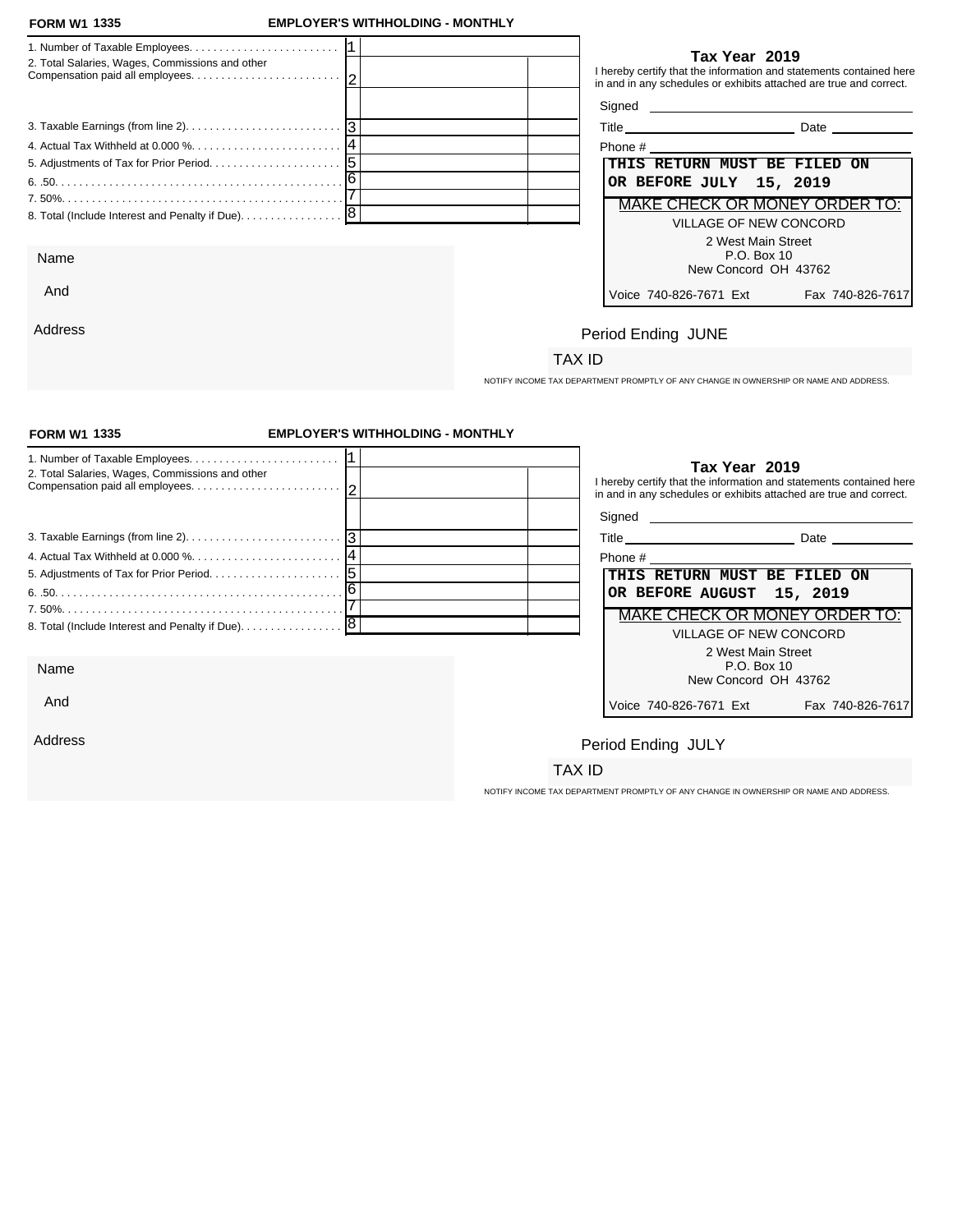Address

## **FORM W1 EMPLOYER'S WITHHOLDING - MONTHLY**

| 2. Total Salaries, Wages, Commissions and other                                                  |  |                              | Tax Year 2019                                             | I hereby certify that the information and statements contained here<br>in and in any schedules or exhibits attached are true and correct. |
|--------------------------------------------------------------------------------------------------|--|------------------------------|-----------------------------------------------------------|-------------------------------------------------------------------------------------------------------------------------------------------|
|                                                                                                  |  | Signed <b>Signed</b>         |                                                           |                                                                                                                                           |
| 3. Taxable Earnings (from line 2). $\ldots$ . $\ldots$ . $\ldots$ . $\ldots$ . $\lceil 3 \rceil$ |  |                              |                                                           | <b>Date Date</b>                                                                                                                          |
|                                                                                                  |  |                              |                                                           |                                                                                                                                           |
|                                                                                                  |  | THIS RETURN MUST BE FILED ON |                                                           |                                                                                                                                           |
|                                                                                                  |  | OR BEFORE JULY 15, 2019      |                                                           |                                                                                                                                           |
|                                                                                                  |  |                              |                                                           | MAKE CHECK OR MONEY ORDER TO:                                                                                                             |
| 8. Total (Include Interest and Penalty if Due). 8                                                |  |                              | VILLAGE OF NEW CONCORD                                    |                                                                                                                                           |
| Name                                                                                             |  |                              | 2 West Main Street<br>P.O. Box 10<br>New Concord OH 43762 |                                                                                                                                           |
| And                                                                                              |  | Voice 740-826-7671 Fxt       |                                                           | Fax 740-826-7617                                                                                                                          |

| Phone #                                                     |
|-------------------------------------------------------------|
| THIS RETURN MUST BE FILED ON                                |
| OR BEFORE JULY 15, 2019                                     |
| MAKE CHECK OR MONEY ORDER TO:                               |
| VILLAGE OF NEW CONCORD                                      |
| 2 West Main Street<br>$P.O.$ Box 10<br>New Concord OH 43762 |
| Voice 740-826-7671 Ext<br>Fax 740-826-7617                  |

# Period Ending JUNE

## TAX ID

NOTIFY INCOME TAX DEPARTMENT PROMPTLY OF ANY CHANGE IN OWNERSHIP OR NAME AND ADDRESS.

| <b>FORM W1 1335</b>                                                                             | <b>EMPLOYER'S WITHHOLDING - MONTHLY</b> |                                                                                                                                                            |
|-------------------------------------------------------------------------------------------------|-----------------------------------------|------------------------------------------------------------------------------------------------------------------------------------------------------------|
| 2. Total Salaries, Wages, Commissions and other                                                 |                                         | Tax Year 2019<br>I hereby certify that the information and statements contained here<br>in and in any schedules or exhibits attached are true and correct. |
|                                                                                                 |                                         |                                                                                                                                                            |
| 3. Taxable Earnings (from line 2). $\ldots$ . $\ldots$ . $\ldots$ . $\ldots$ . $\ldots$ . $ 3 $ |                                         | Title Date Date                                                                                                                                            |
|                                                                                                 |                                         |                                                                                                                                                            |
|                                                                                                 |                                         | THIS RETURN MUST BE FILED ON                                                                                                                               |
|                                                                                                 |                                         | OR BEFORE AUGUST 15, 2019                                                                                                                                  |
|                                                                                                 |                                         | <b>MAKE CHECK OR MONEY ORDER TO:</b>                                                                                                                       |
|                                                                                                 |                                         | VILLAGE OF NEW CONCORD                                                                                                                                     |
|                                                                                                 |                                         | 2 West Main Street                                                                                                                                         |
| Name                                                                                            |                                         | P.O. Box 10<br>New Concord OH 43762                                                                                                                        |
| And                                                                                             |                                         | Voice 740-826-7671 Ext<br>Fax 740-826-7617                                                                                                                 |
| Address                                                                                         |                                         | Period Ending JULY                                                                                                                                         |
|                                                                                                 |                                         | TAX ID                                                                                                                                                     |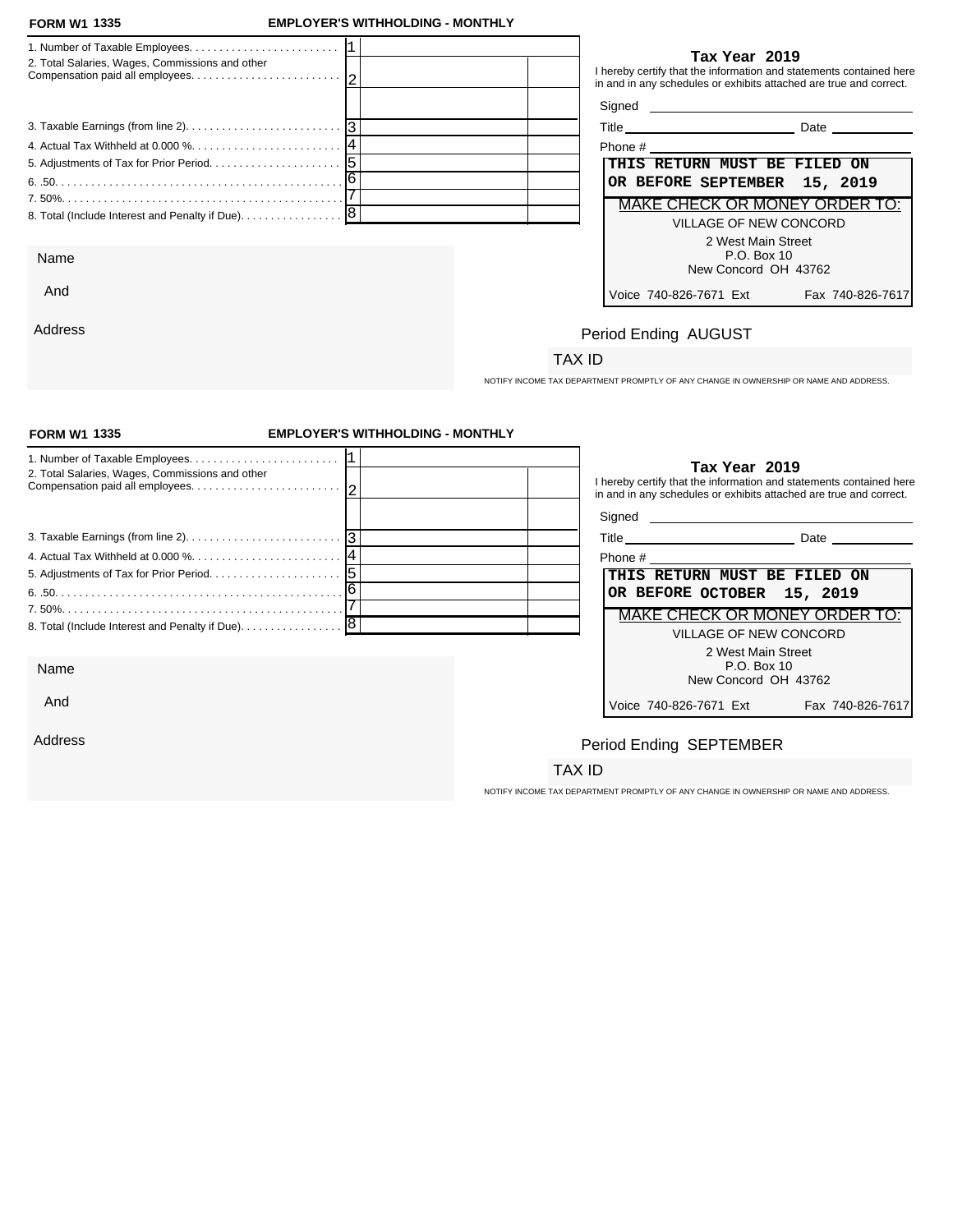And

Address

## **FORM W1 EMPLOYER'S WITHHOLDING - MONTHLY**

|                                                 | Tax Year 2019                                                                                                                             |
|-------------------------------------------------|-------------------------------------------------------------------------------------------------------------------------------------------|
| 2. Total Salaries, Wages, Commissions and other | I hereby certify that the information and statements contained here<br>in and in any schedules or exhibits attached are true and correct. |
|                                                 |                                                                                                                                           |
|                                                 | Title Date Date                                                                                                                           |
|                                                 |                                                                                                                                           |
|                                                 | THIS RETURN MUST BE FILED ON                                                                                                              |
|                                                 | OR BEFORE SEPTEMBER 15, 2019                                                                                                              |
|                                                 | MAKE CHECK OR MONEY ORDER TO:                                                                                                             |
|                                                 | VILLAGE OF NEW CONCORD                                                                                                                    |
|                                                 | 2 West Main Street                                                                                                                        |
| Name                                            | P.O. Box 10                                                                                                                               |
|                                                 | New Concord OH 43762                                                                                                                      |

| Phone #                              |                  |
|--------------------------------------|------------------|
|                                      |                  |
| THIS RETURN MUST BE FILED ON         |                  |
| OR BEFORE SEPTEMBER 15, 2019         |                  |
| <b>MAKE CHECK OR MONEY ORDER TO:</b> |                  |
| VILLAGE OF NEW CONCORD               |                  |
| 2 West Main Street                   |                  |
| $P.O.$ Box 10                        |                  |
| New Concord OH 43762                 |                  |
| Voice 740-826-7671 Ext               | Fax 740-826-7617 |

# Period Ending AUGUST

# TAX ID

NOTIFY INCOME TAX DEPARTMENT PROMPTLY OF ANY CHANGE IN OWNERSHIP OR NAME AND ADDRESS.

| <b>FORM W1 1335</b>                                                                         | <b>EMPLOYER'S WITHHOLDING - MONTHLY</b> |                            |                                                                                      |
|---------------------------------------------------------------------------------------------|-----------------------------------------|----------------------------|--------------------------------------------------------------------------------------|
| 2. Total Salaries, Wages, Commissions and other                                             |                                         |                            | Tax Year 2019<br>I hereby certify that the information and statements contained here |
|                                                                                             |                                         |                            | in and in any schedules or exhibits attached are true and correct.                   |
| 3. Taxable Earnings (from line 2). $\ldots$ . $\ldots$ . $\ldots$ . $\ldots$ . $\ldots$   3 |                                         |                            | Title Date Date                                                                      |
|                                                                                             |                                         |                            |                                                                                      |
|                                                                                             |                                         |                            | THIS RETURN MUST BE FILED ON                                                         |
|                                                                                             |                                         | OR BEFORE OCTOBER 15, 2019 |                                                                                      |
|                                                                                             |                                         |                            | MAKE CHECK OR MONEY ORDER TO:                                                        |
| 8. Total (Include Interest and Penalty if Due). 8                                           |                                         |                            |                                                                                      |
|                                                                                             |                                         |                            | VILLAGE OF NEW CONCORD                                                               |
|                                                                                             |                                         |                            | 2 West Main Street<br>P.O. Box 10                                                    |
| Name                                                                                        |                                         |                            | New Concord OH 43762                                                                 |
| And                                                                                         |                                         | Voice 740-826-7671 Ext     | Fax 740-826-7617                                                                     |
| Address                                                                                     |                                         | Period Ending SEPTEMBER    |                                                                                      |
|                                                                                             |                                         | TAX ID                     |                                                                                      |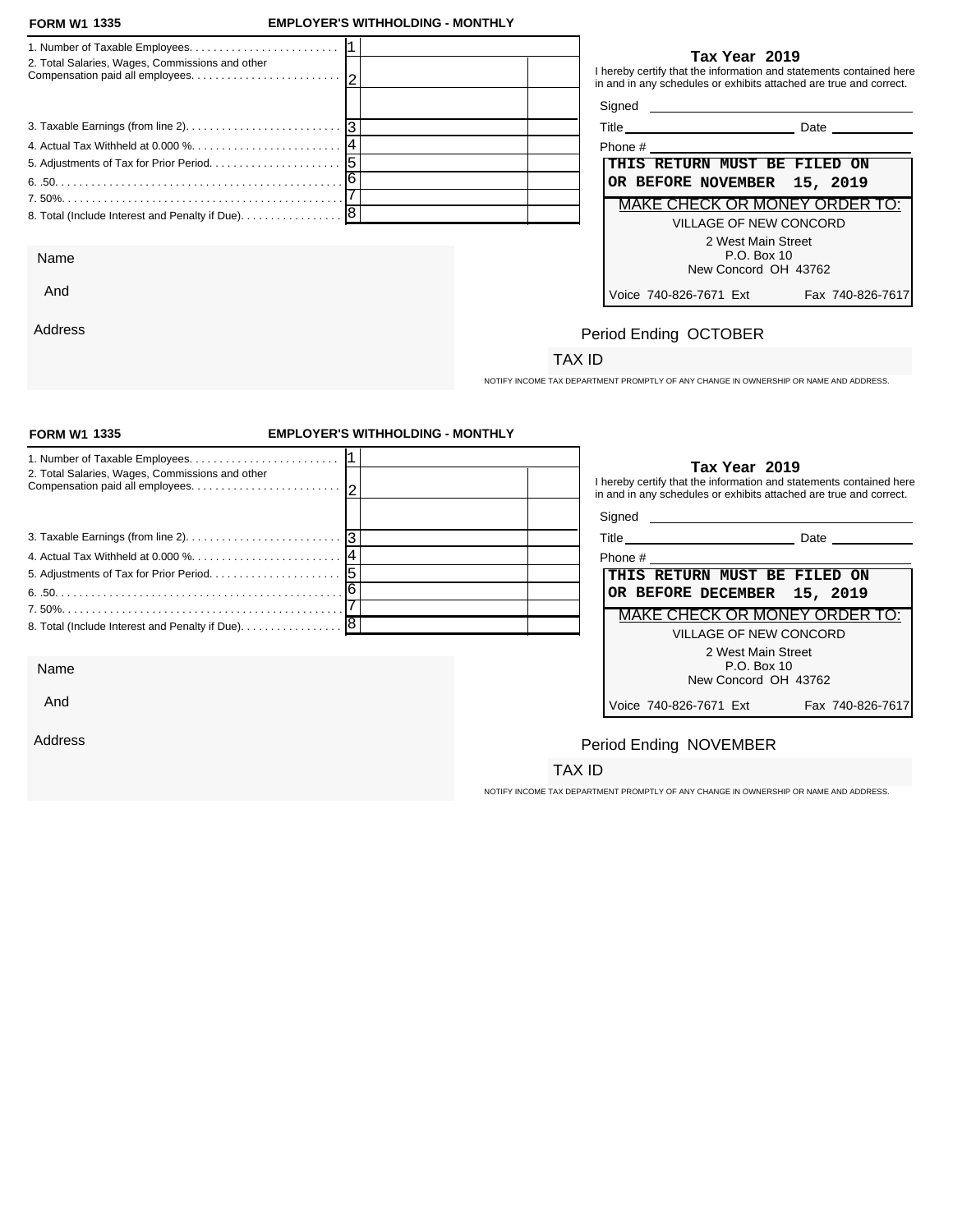And

Address

## **FORM W1 EMPLOYER'S WITHHOLDING - MONTHLY**

| 2. Total Salaries, Wages, Commissions and other   | Tax Year 2019<br>I hereby certify that the information and statements contained here<br>in and in any schedules or exhibits attached are true and correct. |
|---------------------------------------------------|------------------------------------------------------------------------------------------------------------------------------------------------------------|
|                                                   |                                                                                                                                                            |
|                                                   | Title Date Date                                                                                                                                            |
|                                                   | Phone # 2008 and 2008 and 2008 and 2008 and 2008 and 2008 and 2008 and 2008 and 2008 and 2008 and 2008 and 200                                             |
|                                                   | THIS RETURN MUST BE FILED ON                                                                                                                               |
|                                                   | OR BEFORE NOVEMBER 15, 2019                                                                                                                                |
|                                                   | MAKE CHECK OR MONEY ORDER TO:                                                                                                                              |
| 8. Total (Include Interest and Penalty if Due). 8 | VILLAGE OF NEW CONCORD                                                                                                                                     |
|                                                   | 2 West Main Street                                                                                                                                         |
| Name                                              | P.O. Box 10                                                                                                                                                |
|                                                   | New Concord OH 43762                                                                                                                                       |

| Title<br>Date |
|---------------|
|---------------|

| Phone #                       |                 |
|-------------------------------|-----------------|
| THIS RETURN MUST BE FILED ON  |                 |
| OR BEFORE NOVEMBER 15, 2019   |                 |
| MAKE CHECK OR MONEY ORDER TO: |                 |
| VILLAGE OF NEW CONCORD        |                 |
| 2 West Main Street            |                 |
| $P.O.$ Box 10                 |                 |
| New Concord OH 43762          |                 |
| Voice 740-826-7671 Ext        | Fax 740-826-761 |

# Period Ending OCTOBER

# TAX ID

NOTIFY INCOME TAX DEPARTMENT PROMPTLY OF ANY CHANGE IN OWNERSHIP OR NAME AND ADDRESS.

| <b>FORM W1 1335</b>                             | <b>EMPLOYER'S WITHHOLDING - MONTHLY</b> |                              |                                                                                                                                                            |
|-------------------------------------------------|-----------------------------------------|------------------------------|------------------------------------------------------------------------------------------------------------------------------------------------------------|
| 2. Total Salaries, Wages, Commissions and other |                                         |                              | Tax Year 2019<br>I hereby certify that the information and statements contained here<br>in and in any schedules or exhibits attached are true and correct. |
|                                                 |                                         |                              |                                                                                                                                                            |
|                                                 |                                         |                              |                                                                                                                                                            |
|                                                 |                                         |                              |                                                                                                                                                            |
|                                                 |                                         | THIS RETURN MUST BE FILED ON |                                                                                                                                                            |
|                                                 |                                         | OR BEFORE DECEMBER 15, 2019  |                                                                                                                                                            |
|                                                 |                                         |                              | <b>MAKE CHECK OR MONEY ORDER TO:</b>                                                                                                                       |
|                                                 |                                         |                              | <b>VILLAGE OF NEW CONCORD</b>                                                                                                                              |
|                                                 |                                         |                              | 2 West Main Street                                                                                                                                         |
| Name                                            |                                         |                              | P.O. Box 10<br>New Concord OH 43762                                                                                                                        |
| And                                             |                                         | Voice 740-826-7671 Ext       | Fax 740-826-7617                                                                                                                                           |
| Address                                         |                                         | Period Ending NOVEMBER       |                                                                                                                                                            |
|                                                 |                                         | TAX ID                       |                                                                                                                                                            |